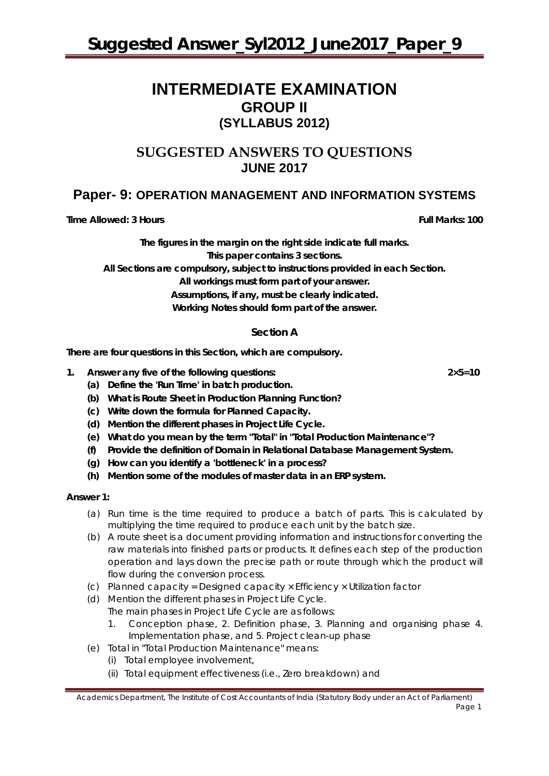# **INTERMEDIATE EXAMINATION GROUP II (SYLLABUS 2012)**

## **SUGGESTED ANSWERS TO QUESTIONS JUNE 2017**

## **Paper- 9: OPERATION MANAGEMENT AND INFORMATION SYSTEMS**

**Time Allowed: 3 Hours Full Marks: 100**

**The figures in the margin on the right side indicate full marks. This paper contains 3 sections.**

**All Sections are compulsory, subject to instructions provided in each Section.**

**All workings must form part of your answer.**

**Assumptions, if any, must be clearly indicated.**

**Working Notes should form part of the answer.**

### **Section A**

**There are four questions in this Section, which are compulsory.** 

- **1. Answer any five of the following questions: 2×5=10**
	- **(a) Define the 'Run Time' in batch production.**
	- **(b) What is Route Sheet in Production Planning Function?**
	- **(c) Write down the formula for Planned Capacity.**
	- **(d) Mention the different phases in Project Life Cycle.**
	- **(e) What do you mean by the term "Total" in "Total Production Maintenance"?**
	- **(f) Provide the definition of Domain in Relational Database Management System.**
	- **(g) How can you identify a 'bottleneck' in a process?**
	- **(h) Mention some of the modules of master data in an ERP system.**

#### **Answer 1:**

- (a) Run time is the time required to produce a batch of parts. This is calculated by multiplying the time required to produce each unit by the batch size.
- (b) A route sheet is a document providing information and instructions for converting the raw materials into finished parts or products. It defines each step of the production operation and lays down the precise path or route through which the product will flow during the conversion process.
- (c) Planned capacity = Designed capacity × Efficiency × Utilization factor
- (d) Mention the different phases in Project Life Cycle.
	- The main phases in Project Life Cycle are as follows:
		- 1. Conception phase, 2. Definition phase, 3. Planning and organising phase 4. Implementation phase, and 5. Project clean-up phase
- (e) Total in "Total Production Maintenance" means:
	- (i) Total employee involvement,
	- (ii) Total equipment effectiveness (i.e., Zero breakdown) and

Academics Department, The Institute of Cost Accountants of India (Statutory Body under an Act of Parliament) Page 1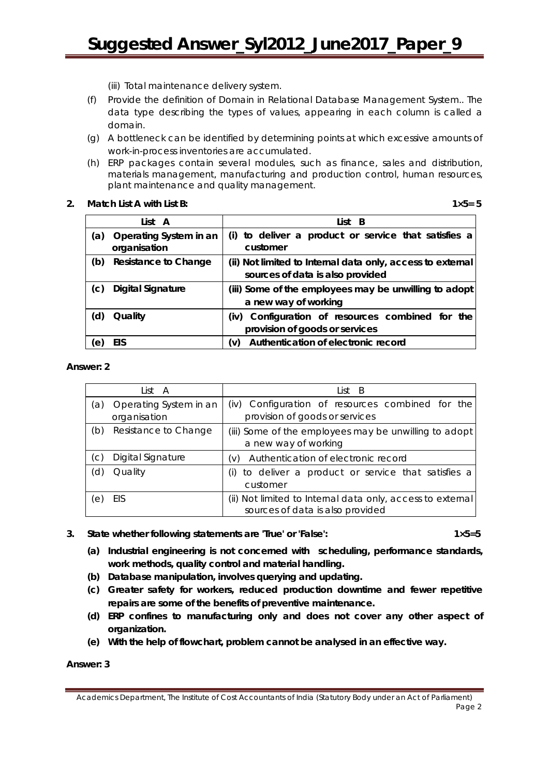# **Suggested Answer\_Syl2012\_June2017\_Paper\_9**

(iii) Total maintenance delivery system.

- (f) Provide the definition of Domain in Relational Database Management System.. The data type describing the types of values, appearing in each column is called a domain.
- (g) A bottleneck can be identified by determining points at which excessive amounts of work-in-process inventories are accumulated.
- (h) ERP packages contain several modules, such as finance, sales and distribution, materials management, manufacturing and production control, human resources, plant maintenance and quality management.
- **2. Match List A with List B: 1×5= 5**

|     | List A                                 | List B                                                                                         |
|-----|----------------------------------------|------------------------------------------------------------------------------------------------|
| (a) | Operating System in an<br>organisation | (i) to deliver a product or service that satisfies a<br>customer                               |
| (b) | <b>Resistance to Change</b>            | (ii) Not limited to Internal data only, access to external<br>sources of data is also provided |
| (C) | <b>Digital Signature</b>               | (iii) Some of the employees may be unwilling to adopt<br>a new way of working                  |
| (d) | Quality                                | Configuration of resources combined for the<br>(iv)<br>provision of goods or services          |
| (e) | EIS                                    | Authentication of electronic record<br>(v)                                                     |

#### **Answer: 2**

|     | List A                                 | List B                                                                                         |
|-----|----------------------------------------|------------------------------------------------------------------------------------------------|
| a)  | Operating System in an<br>organisation | (iv) Configuration of resources combined for the<br>provision of goods or services             |
| (b) | Resistance to Change                   | (iii) Some of the employees may be unwilling to adopt<br>a new way of working                  |
| C)  | Digital Signature                      | Authentication of electronic record<br>(V)                                                     |
| d   | Quality                                | to deliver a product or service that satisfies a<br>(i)<br>customer                            |
| е   | EIS                                    | (ii) Not limited to Internal data only, access to external<br>sources of data is also provided |

#### 3. State whether following statements are 'True' or 'False': 1×5=5

- **(a) Industrial engineering is not concerned with scheduling, performance standards, work methods, quality control and material handling.**
- **(b) Database manipulation, involves querying and updating.**
- **(c) Greater safety for workers, reduced production downtime and fewer repetitive repairs are some of the benefits of preventive maintenance.**
- **(d) ERP confines to manufacturing only and does not cover any other aspect of organization.**
- **(e) With the help of flowchart, problem cannot be analysed in an effective way.**

**Answer: 3**

Academics Department, The Institute of Cost Accountants of India (Statutory Body under an Act of Parliament) Page 2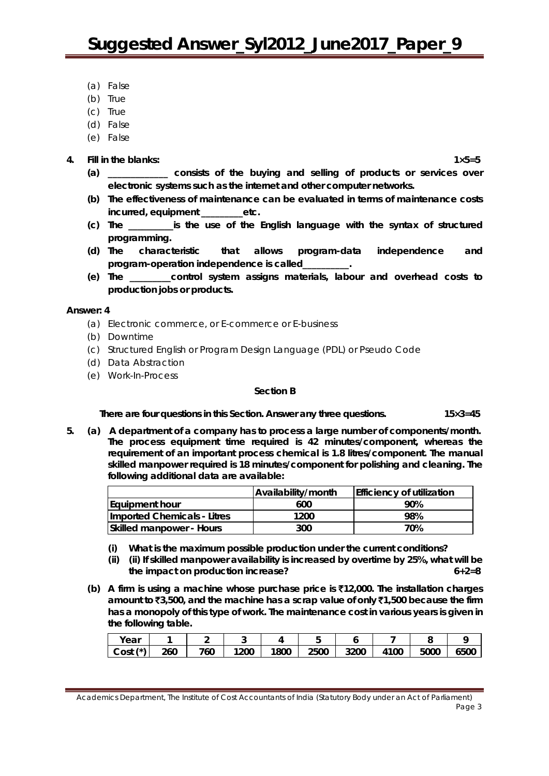- (a) False
- (b) True
- (c) True
- (d) False
- (e) False

#### **4. Fill in the blanks: 1×5=5**

- **(a) \_\_\_\_\_\_\_\_\_\_\_\_\_ consists of the buying and selling of products or services over electronic systems such as the internet and other computer networks.**
- **(b) The effectiveness of maintenance can be evaluated in terms of maintenance costs incurred, equipment \_\_\_\_\_\_\_\_\_etc.**
- **(c) The \_\_\_\_\_\_\_\_\_\_is the use of the English language with the syntax of structured programming.**
- **(d) The characteristic that allows program-data independence and program-operation independence is called\_\_\_\_\_\_\_\_\_\_.**
- **(e) The \_\_\_\_\_\_\_\_\_control system assigns materials, labour and overhead costs to production jobs or products.**

#### **Answer: 4**

- (a) Electronic commerce, or E-commerce or E-business
- (b) Downtime
- (c) Structured English or Program Design Language (PDL) or Pseudo Code
- (d) Data Abstraction
- (e) Work-In-Process

#### **Section B**

**There are** *four* **questions in this Section. Answer** *any three* **questions. 15×3=45**

**5. (a) A department of a company has to process a large number of components/month. The process equipment time required is 42 minutes/component, whereas the requirement of an important process chemical is 1.8 litres/component. The manual skilled manpower required is 18 minutes/component for polishing and cleaning. The following additional data are available:**

|                                 | Availability/month | <b>Efficiency of utilization</b> |
|---------------------------------|--------------------|----------------------------------|
| <b>Equipment hour</b>           | 600                | 90%                              |
| Imported Chemicals - Litres     | 1200               | 98%                              |
| <b>Skilled manpower - Hours</b> | 300                | 70%                              |

- **(i) What is the maximum possible production under the current conditions?**
- **(ii) (ii) If skilled manpower availability is increased by overtime by 25%, what will be**  the impact on production increase?
- **(b) A firm is using a machine whose purchase price is** `**12,000. The installation charges amount to** `**3,500, and the machine has a scrap value of only** `**1,500 because the firm has a monopoly of this type of work. The maintenance cost in various years is given in the following table.**

| Year                      |     |     |      |      |      |      |            |      |      |
|---------------------------|-----|-----|------|------|------|------|------------|------|------|
| $\left( x\right)$<br>Cost | 260 | 760 | 1200 | 1800 | 2500 | 3200 | 4100<br>4. | 5000 | 6500 |

Academics Department, The Institute of Cost Accountants of India (Statutory Body under an Act of Parliament) Page 3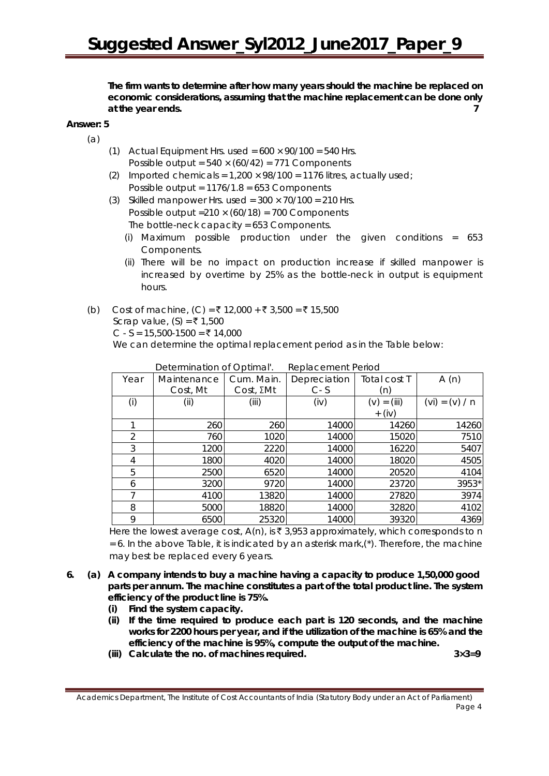**The firm wants to determine after how many years should the machine be replaced on economic considerations, assuming that the machine replacement can be done only at the year ends. 7**

#### **Answer: 5**

(a)

- (1) Actual Equipment Hrs. used =  $600 \times 90/100 = 540$  Hrs. Possible output =  $540 \times (60/42) = 771$  Components
- (2) Imported chemicals =  $1,200 \times 98/100 = 1176$  litres, actually used; Possible output = 1176/1.8 = 653 Components
- (3) Skilled manpower Hrs. used =  $300 \times 70/100 = 210$  Hrs. Possible output =  $210 \times (60/18) = 700$  Components The bottle-neck capacity = 653 Components.
	- (i) Maximum possible production under the given conditions = 653 Components.
	- (ii) There will be no impact on production increase if skilled manpower is increased by overtime by 25% as the bottle-neck in output is equipment hours.
- (b) Cost of machine, (C) = ₹ 12,000 + ₹ 3,500 = ₹ 15,500 Scrap value,  $(S) = ₹ 1,500$ C - S = 15,500-1500 = ₹ 14,000

We can determine the optimal replacement period as in the Table below:

| Year | Maintenance | Cum. Main.        | Depreciation | Total cost T     | A(n)             |
|------|-------------|-------------------|--------------|------------------|------------------|
|      | Cost, Mt    | $Cost, \Sigma Mt$ | $C - S$      | (n)              |                  |
| (i)  | (ii)        | (iii)             | (iv)         | $=$ (iii)<br>(v) | $(vi) = (v) / n$ |
|      |             |                   |              | $+$ (iv)         |                  |
|      | 260         | 260               | 14000        | 14260            | 14260            |
| 2    | 760         | 1020              | 14000        | 15020            | 7510             |
| 3    | 1200        | 2220              | 14000        | 16220            | 5407             |
| 4    | 1800        | 4020              | 14000        | 18020            | 4505             |
| 5    | 2500        | 6520              | 14000        | 20520            | 4104             |
| 6    | 3200        | 9720              | 14000        | 23720            | 3953*            |
|      | 4100        | 13820             | 14000        | 27820            | 3974             |
| 8    | 5000        | 18820             | 14000        | 32820            | 4102             |
| 9    | 6500        | 25320             | 14000        | 39320            | 4369             |

Determination of Optimal' Replacement Period

Here the lowest average cost,  $A(n)$ , is  $\bar{\tau}$  3,953 approximately, which corresponds to n  $= 6$ . In the above Table, it is indicated by an asterisk mark, $(*)$ . Therefore, the machine may best be replaced every 6 years.

- **6. (a) A company intends to buy a machine having a capacity to produce 1,50,000 good parts per annum. The machine constitutes a part of the total product line. The system efficiency of the product line is 75%.**
	- **(i) Find the system capacity.**
	- **(ii) If the time required to produce each part is 120 seconds, and the machine works for 2200 hours per year, and if the utilization of the machine is 65% and the efficiency of the machine is 95%, compute the output of the machine.**
	- **(iii) Calculate the no. of machines required. 3×3=9**

Academics Department, The Institute of Cost Accountants of India (Statutory Body under an Act of Parliament) Page 4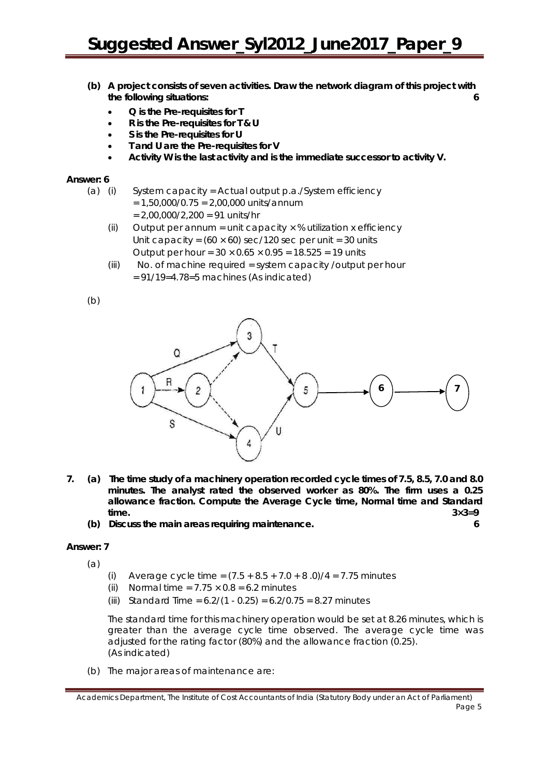- **(b) A project consists of seven activities. Draw the network diagram of this project with the following situations: 6**
	- **Q is the Pre-requisites for T**
	- **R is the Pre-requisites for T & U**
	- **S is the Pre-requisites for U**
	- **T and U are the Pre-requisites for V**
	- **Activity W is the last activity and is the immediate successor to activity V.**

#### **Answer: 6**

- (a) (i) System capacity = Actual output p.a./System efficiency
	- $= 1.50,000/0.75 = 2,00,000$  units/annum  $= 2,00,000/2,200 = 91$  units/hr
	- (ii) Output per annum = unit capacity  $\times$  % utilization x efficiency Unit capacity =  $(60 \times 60)$  sec/120 sec per unit = 30 units Output per hour =  $30 \times 0.65 \times 0.95 = 18.525 = 19$  units
	- (iii) No. of machine required = system capacity /output per hour  $= 91/19=4.78=5$  machines (As indicated)

(b)



- **7. (a) The time study of a machinery operation recorded cycle times of 7.5, 8.5, 7.0 and 8.0 minutes. The analyst rated the observed worker as 80%. The firm uses a 0.25 allowance fraction. Compute the Average Cycle time, Normal time and Standard time. 3×3=9**
	- **(b) Discuss the main areas requiring maintenance. 6**

#### **Answer: 7**

(a)

- (i) Average cycle time =  $(7.5 + 8.5 + 7.0 + 8.0)/4 = 7.75$  minutes
- (ii) Normal time =  $7.75 \times 0.8 = 6.2$  minutes
- (iii) Standard Time =  $6.2/(1 \cdot 0.25) = 6.2/0.75 = 8.27$  minutes

The standard time for this machinery operation would be set at 8.26 minutes, which is greater than the average cycle time observed. The average cycle time was adjusted for the rating factor (80%) and the allowance fraction (0.25). (As indicated)

(b) The major areas of maintenance are:

Academics Department, The Institute of Cost Accountants of India (Statutory Body under an Act of Parliament) Page 5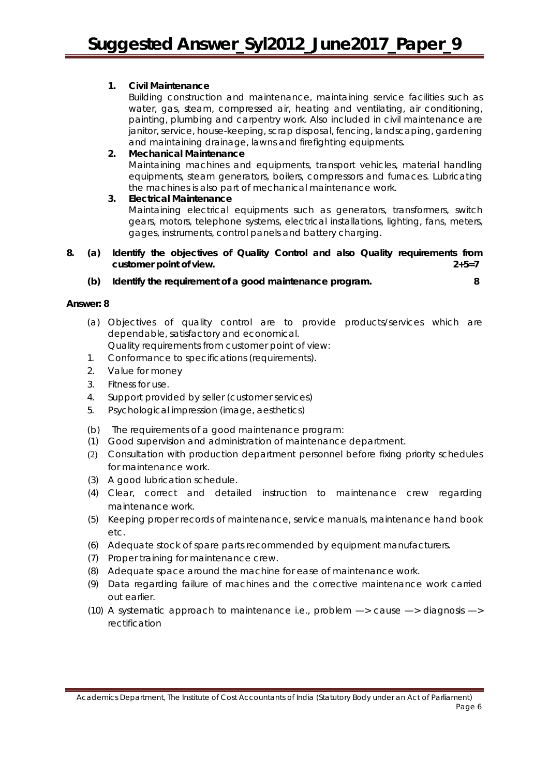#### **1. Civil Maintenance**

Building construction and maintenance, maintaining service facilities such as water, gas, steam, compressed air, heating and ventilating, air conditioning, painting, plumbing and carpentry work. Also included in civil maintenance are janitor, service, house-keeping, scrap disposal, fencing, landscaping, gardening and maintaining drainage, lawns and firefighting equipments.

#### **2. Mechanical Maintenance**

Maintaining machines and equipments, transport vehicles, material handling equipments, steam generators, boilers, compressors and furnaces. Lubricating the machines is also part of mechanical maintenance work.

#### **3. Electrical Maintenance**

Maintaining electrical equipments such as generators, transformers, switch gears, motors, telephone systems, electrical installations, lighting, fans, meters, gages, instruments, control panels and battery charging.

#### **8. (a) Identify the objectives of Quality Control and also Quality requirements from customer point of view. 2+5=7**

**(b) Identify the requirement of a good maintenance program. 8**

#### **Answer: 8**

- (a) Objectives of quality control are to provide products/services which are dependable, satisfactory and economical. Quality requirements from customer point of view:
- 1. Conformance to specifications (requirements).
- 2. Value for money
- 3. Fitness for use.
- 4. Support provided by seller (customer services)
- 5. Psychological impression (image, aesthetics)
- (b) The requirements of a good maintenance program:
- (1) Good supervision and administration of maintenance department.
- (2) Consultation with production department personnel before fixing priority schedules for maintenance work.
- (3) A good lubrication schedule.
- (4) Clear, correct and detailed instruction to maintenance crew regarding maintenance work.
- (5) Keeping proper records of maintenance, service manuals, maintenance hand book etc.
- (6) Adequate stock of spare parts recommended by equipment manufacturers.
- (7) Proper training for maintenance crew.
- (8) Adequate space around the machine for ease of maintenance work.
- (9) Data regarding failure of machines and the corrective maintenance work carried out earlier.
- (10) A systematic approach to maintenance i.e., problem  $\rightarrow$  cause  $\rightarrow$  diagnosis  $\rightarrow$ rectification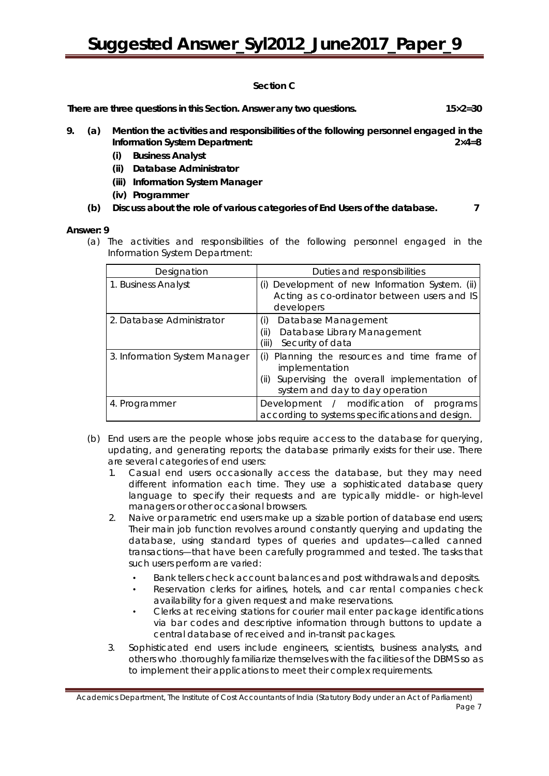# **Suggested Answer\_Syl2012\_June2017\_Paper\_9**

#### **Section C**

**There are three questions in this Section. Answer any two questions. 15×2=30**

- **9. (a) Mention the activities and responsibilities of the following personnel engaged in the Information System Department: 2×4=8**
	- **(i) Business Analyst**
	- **(ii) Database Administrator**
	- **(iii) Information System Manager**
	- **(iv) Programmer**
	- **(b) Discuss about the role of various categories of End Users of the database. 7**

#### **Answer: 9**

(a) The activities and responsibilities of the following personnel engaged in the Information System Department:

| Designation                   | Duties and responsibilities                                                                                                                               |
|-------------------------------|-----------------------------------------------------------------------------------------------------------------------------------------------------------|
| 1. Business Analyst           | (i) Development of new Information System. (ii)<br>Acting as co-ordinator between users and IS<br>developers                                              |
| 2. Database Administrator     | Database Management<br>(i)<br>Database Library Management<br>(ii)<br>(iii)<br>Security of data                                                            |
| 3. Information System Manager | Planning the resources and time frame of<br>(i)<br>implementation<br>Supervising the overall implementation of<br>(ii)<br>system and day to day operation |
| 4. Programmer                 | Development / modification of programs<br>according to systems specifications and design.                                                                 |

- (b) End users are the people whose jobs require access to the database for querying, updating, and generating reports; the database primarily exists for their use. There are several categories of end users:
	- 1. Casual end users occasionally access the database, but they may need different information each time. They use a sophisticated database query language to specify their requests and are typically middle- or high-level managers or other occasional browsers.
	- 2. Naive or parametric end users make up a sizable portion of database end users; Their main job function revolves around constantly querying and updating the database, using standard types of queries and updates—called canned transactions—that have been carefully programmed and tested. The tasks that such users perform are varied:
		- Bank tellers check account balances and post withdrawals and deposits.
		- Reservation clerks for airlines, hotels, and car rental companies check availability for a given request and make reservations.
		- Clerks at receiving stations for courier mail enter package identifications via bar codes and descriptive information through buttons to update a central database of received and in-transit packages.
	- 3. Sophisticated end users include engineers, scientists, business analysts, and others who .thoroughly familiarize themselves with the facilities of the DBMS so as to implement their applications to meet their complex requirements.

Academics Department, The Institute of Cost Accountants of India (Statutory Body under an Act of Parliament) Page 7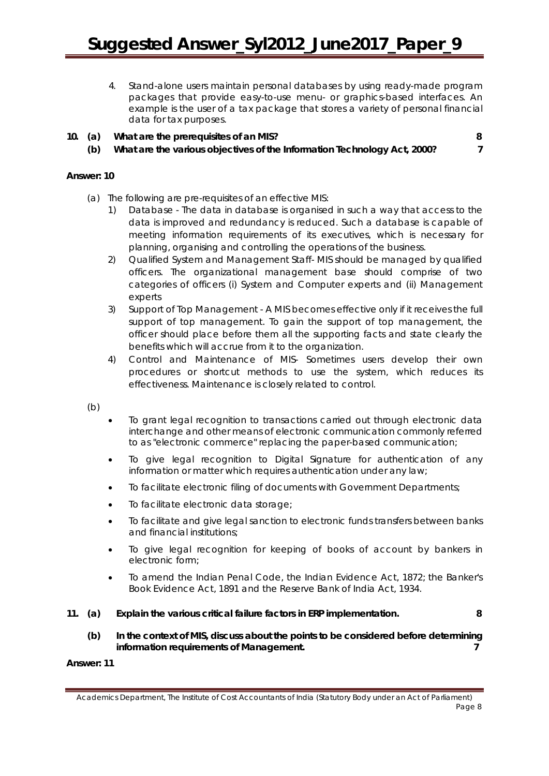- 4. Stand-alone users maintain personal databases by using ready-made program packages that provide easy-to-use menu- or graphics-based interfaces. An example is the user of a tax package that stores a variety of personal financial data for tax purposes.
- **10. (a) What are the prerequisites of an MIS? 8**
	-
	- **(b) What are the various objectives of the Information Technology Act, 2000? 7**

#### **Answer: 10**

- (a) The following are pre-requisites of an effective MIS:
	- 1) Database The data in database is organised in such a way that access to the data is improved and redundancy is reduced. Such a database is capable of meeting information requirements of its executives, which is necessary for planning, organising and controlling the operations of the business.
	- 2) Qualified System and Management Staff- MIS should be managed by qualified officers. The organizational management base should comprise of two categories of officers (i) System and Computer experts and (ii) Management experts
	- 3) Support of Top Management A MIS becomes effective only if it receives the full support of top management. To gain the support of top management, the officer should place before them all the supporting facts and state clearly the benefits which will accrue from it to the organization.
	- 4) Control and Maintenance of MIS- Sometimes users develop their own procedures or shortcut methods to use the system, which reduces its effectiveness. Maintenance is closely related to control.

(b)

- To grant legal recognition to transactions carried out through electronic data interchange and other means of electronic communication commonly referred to as "electronic commerce" replacing the paper-based communication;
- To give legal recognition to Digital Signature for authentication of any information or matter which requires authentication under any law;
- To facilitate electronic filing of documents with Government Departments;
- To facilitate electronic data storage;
- To facilitate and give legal sanction to electronic funds transfers between banks and financial institutions;
- To give legal recognition for keeping of books of account by bankers in electronic form;
- To amend the Indian Penal Code, the Indian Evidence Act, 1872; the Banker's Book Evidence Act, 1891 and the Reserve Bank of India Act, 1934.

#### **11. (a) Explain the various critical failure factors in ERP implementation. 8**

**(b) In the context of MIS, discuss about the points to be considered before determining information requirements of Management. 7**

#### **Answer: 11**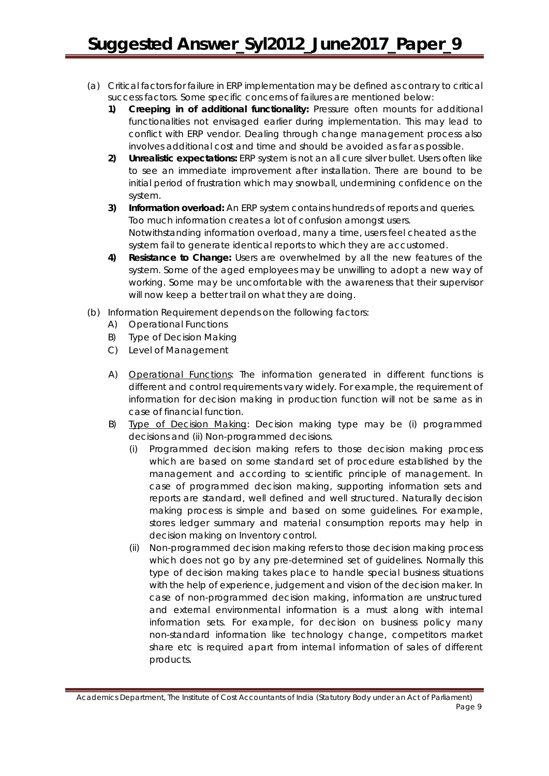- (a) Critical factors for failure in ERP implementation may be defined as contrary to critical success factors. Some specific concerns of failures are mentioned below:
	- **1) Creeping in of additional functionality:** Pressure often mounts for additional functionalities not envisaged earlier during implementation. This may lead to conflict with ERP vendor. Dealing through change management process also involves additional cost and time and should be avoided as far as possible.
	- **2) Unrealistic expectations:** ERP system is not an all cure silver bullet. Users often like to see an immediate improvement after installation. There are bound to be initial period of frustration which may snowball, undermining confidence on the system.
	- **3) Information overload:** An ERP system contains hundreds of reports and queries. Too much information creates a lot of confusion amongst users. Notwithstanding information overload, many a time, users feel cheated as the system fail to generate identical reports to which they are accustomed.
	- **4) Resistance to Change:** Users are overwhelmed by all the new features of the system. Some of the aged employees may be unwilling to adopt a new way of working. Some may be uncomfortable with the awareness that their supervisor will now keep a better trail on what they are doing.
- (b) Information Requirement depends on the following factors:
	- A) Operational Functions
	- B) Type of Decision Making
	- C) Level of Management
	- A) Operational Functions: The information generated in different functions is different and control requirements vary widely. For example, the requirement of information for decision making in production function will not be same as in case of financial function.
	- B) Type of Decision Making: Decision making type may be (i) programmed decisions and (ii) Non-programmed decisions.
		- (i) Programmed decision making refers to those decision making process which are based on some standard set of procedure established by the management and according to scientific principle of management. In case of programmed decision making, supporting information sets and reports are standard, well defined and well structured. Naturally decision making process is simple and based on some guidelines. For example, stores ledger summary and material consumption reports may help in decision making on Inventory control.
		- (ii) Non-programmed decision making refers to those decision making process which does not go by any pre-determined set of guidelines. Normally this type of decision making takes place to handle special business situations with the help of experience, judgement and vision of the decision maker. In case of non-programmed decision making, information are unstructured and external environmental information is a must along with internal information sets. For example, for decision on business policy many non-standard information like technology change, competitors market share etc is required apart from internal information of sales of different products.